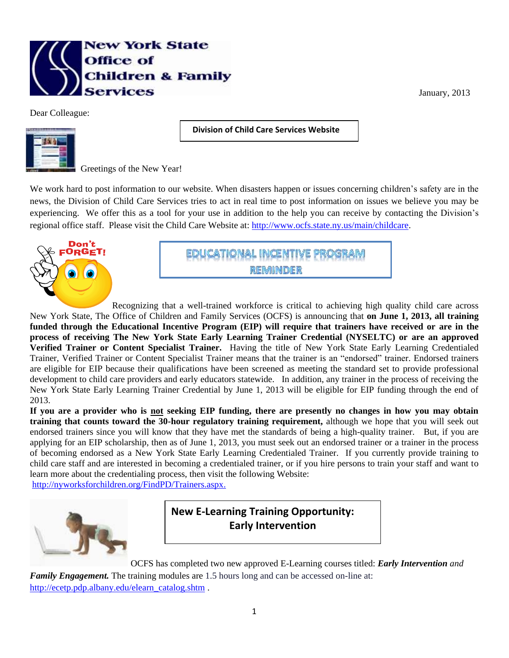

Dear Colleague:

 **Division of Child Care Services Website** 

**Assistance**



Greetings of the New Year!

We work hard to post information to our website. When disasters happen or issues concerning children's safety are in the news, the Division of Child Care Services tries to act in real time to post information on issues we believe you may be experiencing. We offer this as a tool for your use in addition to the help you can receive by contacting the Division's regional office staff. Please visit the Child Care Website at: [http://www.ocfs.state.ny.us/main/childcare.](http://www.ocfs.state.ny.us/main/childcare)



CATIONAL INCENTIVE PROGRAM **REMINDER** 

Recognizing that a well-trained workforce is critical to achieving high quality child care across New York State, The Office of Children and Family Services (OCFS) is announcing that **on June 1, 2013, all training funded through the Educational Incentive Program (EIP) will require that trainers have received or are in the process of receiving The New York State Early Learning Trainer Credential (NYSELTC) or are an approved Verified Trainer or Content Specialist Trainer.** Having the title of New York State Early Learning Credentialed Trainer, Verified Trainer or Content Specialist Trainer means that the trainer is an "endorsed" trainer. Endorsed trainers are eligible for EIP because their qualifications have been screened as meeting the standard set to provide professional development to child care providers and early educators statewide. In addition, any trainer in the process of receiving the New York State Early Learning Trainer Credential by June 1, 2013 will be eligible for EIP funding through the end of 2013.

**If you are a provider who is not seeking EIP funding, there are presently no changes in how you may obtain training that counts toward the 30-hour regulatory training requirement,** although we hope that you will seek out endorsed trainers since you will know that they have met the standards of being a high-quality trainer. But, if you are applying for an EIP scholarship, then as of June 1, 2013, you must seek out an endorsed trainer or a trainer in the process of becoming endorsed as a New York State Early Learning Credentialed Trainer. If you currently provide training to child care staff and are interested in becoming a credentialed trainer, or if you hire persons to train your staff and want to learn more about the credentialing process, then visit the following Website:

[http://nyworksforchildren.org/FindPD/Trainers.aspx.](http://nyworksforchildren.org/FindPD/Trainers.aspx)



**New E-Learning Training Opportunity: Early Intervention**

OCFS has completed two new approved E-Learning courses titled: *Early Intervention and* 

*Family Engagement*. The training modules are 1.5 hours long and can be accessed on-line at: [http://ecetp.pdp.albany.edu/elearn\\_catalog.shtm](http://ecetp.pdp.albany.edu/elearn_catalog.shtm) .

January, 2013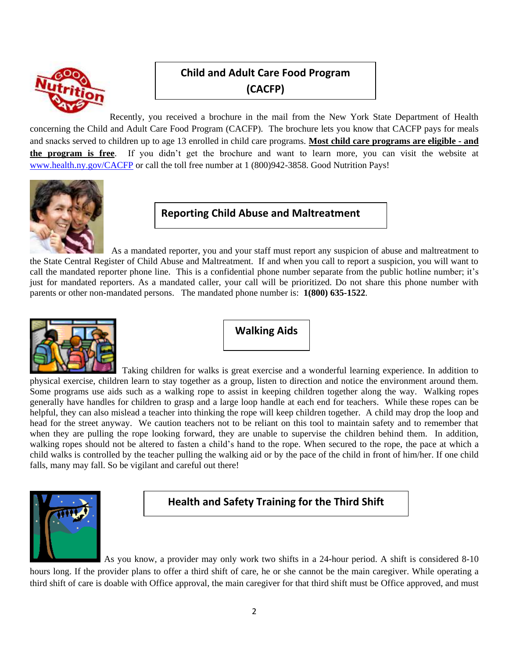

## **Child and Adult Care Food Program (CACFP)**

Recently, you received a brochure in the mail from the New York State Department of Health concerning the Child and Adult Care Food Program (CACFP). The brochure lets you know that CACFP pays for meals and snacks served to children up to age 13 enrolled in child care programs. **Most child care programs are eligible - and the program is free**. If you didn't get the brochure and want to learn more, you can visit the website at [www.health.ny.gov/CACFP](http://www.health.ny.gov/CACFP) or call the toll free number at 1 (800)942-3858. Good Nutrition Pays!



**Reporting Child Abuse and Maltreatment**

As a mandated reporter, you and your staff must report any suspicion of abuse and maltreatment to the State Central Register of Child Abuse and Maltreatment. If and when you call to report a suspicion, you will want to call the mandated reporter phone line. This is a confidential phone number separate from the public hotline number; it's just for mandated reporters. As a mandated caller, your call will be prioritized. Do not share this phone number with parents or other non-mandated persons. The mandated phone number is: **1(800) 635-1522**.



**Walking Aids**

 Taking children for walks is great exercise and a wonderful learning experience. In addition to physical exercise, children learn to stay together as a group, listen to direction and notice the environment around them. Some programs use aids such as a walking rope to assist in keeping children together along the way. Walking ropes generally have handles for children to grasp and a large loop handle at each end for teachers. While these ropes can be helpful, they can also mislead a teacher into thinking the rope will keep children together. A child may drop the loop and head for the street anyway. We caution teachers not to be reliant on this tool to maintain safety and to remember that when they are pulling the rope looking forward, they are unable to supervise the children behind them. In addition, walking ropes should not be altered to fasten a child's hand to the rope. When secured to the rope, the pace at which a child walks is controlled by the teacher pulling the walking aid or by the pace of the child in front of him/her. If one child falls, many may fall. So be vigilant and careful out there!



**Health and Safety Training for the Third Shift**

As you know, a provider may only work two shifts in a 24-hour period. A shift is considered 8-10 hours long. If the provider plans to offer a third shift of care, he or she cannot be the main caregiver. While operating a third shift of care is doable with Office approval, the main caregiver for that third shift must be Office approved, and must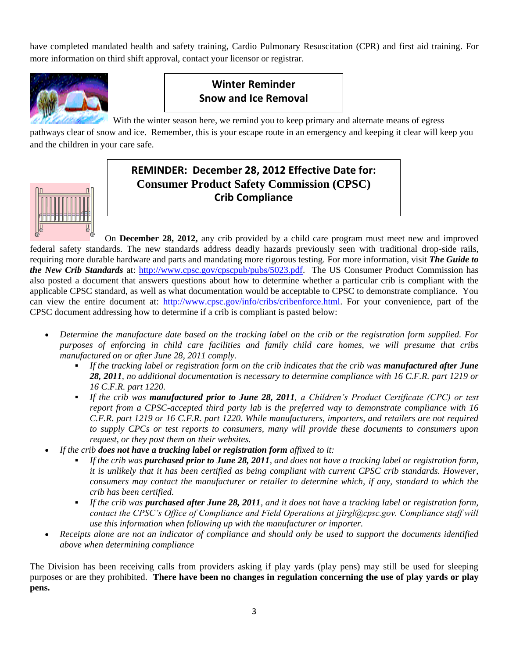have completed mandated health and safety training, Cardio Pulmonary Resuscitation (CPR) and first aid training. For more information on third shift approval, contact your licensor or registrar.



## **Winter Reminder Snow and Ice Removal**

With the winter season here, we remind you to keep primary and alternate means of egress

pathways clear of snow and ice. Remember, this is your escape route in an emergency and keeping it clear will keep you and the children in your care safe.



## **REMINDER: December 28, 2012 Effective Date for: Consumer Product Safety Commission (CPSC) Crib Compliance**

 On **December 28, 2012,** any crib provided by a child care program must meet new and improved federal safety standards. The new standards address deadly hazards previously seen with traditional drop-side rails, requiring more durable hardware and parts and mandating more rigorous testing. For more information, visit *The Guide to the New Crib Standards* at: [http://www.cpsc.gov/cpscpub/pubs/5023.pdf.](http://www.cpsc.gov/cpscpub/pubs/5023.pdf) The US Consumer Product Commission has also posted a document that answers questions about how to determine whether a particular crib is compliant with the applicable CPSC standard, as well as what documentation would be acceptable to CPSC to demonstrate compliance. You can view the entire document at: [http://www.cpsc.gov/info/cribs/cribenforce.html.](http://www.cpsc.gov/info/cribs/cribenforce.html) For your convenience, part of the CPSC document addressing how to determine if a crib is compliant is pasted below:

- *Determine the manufacture date based on the tracking label on the crib or the registration form supplied. For purposes of enforcing in child care facilities and family child care homes, we will presume that cribs manufactured on or after June 28, 2011 comply.*
	- **If the tracking label or registration form on the crib indicates that the crib was <b>***manufactured after June 28, 2011, no additional documentation is necessary to determine compliance with 16 C.F.R. part 1219 or 16 C.F.R. part 1220.*
	- *If the crib was manufactured prior to June 28, 2011, a Children's Product Certificate (CPC) or test report from a CPSC-accepted third party lab is the preferred way to demonstrate compliance with 16 C.F.R. part 1219 or 16 C.F.R. part 1220. While manufacturers, importers, and retailers are not required to supply CPCs or test reports to consumers, many will provide these documents to consumers upon request, or they post them on their websites.*
- *If the crib does not have a tracking label or registration form affixed to it:*
	- *If the crib was purchased prior to June 28, 2011, and does not have a tracking label or registration form, it is unlikely that it has been certified as being compliant with current CPSC crib standards. However, consumers may contact the manufacturer or retailer to determine which, if any, standard to which the crib has been certified.*
	- *If the crib was purchased after June 28, 2011, and it does not have a tracking label or registration form, contact the CPSC's Office of Compliance and Field Operations at jjirgl@cpsc.gov. Compliance staff will use this information when following up with the manufacturer or importer.*
- *Receipts alone are not an indicator of compliance and should only be used to support the documents identified above when determining compliance*

The Division has been receiving calls from providers asking if play yards (play pens) may still be used for sleeping purposes or are they prohibited. **There have been no changes in regulation concerning the use of play yards or play pens.**